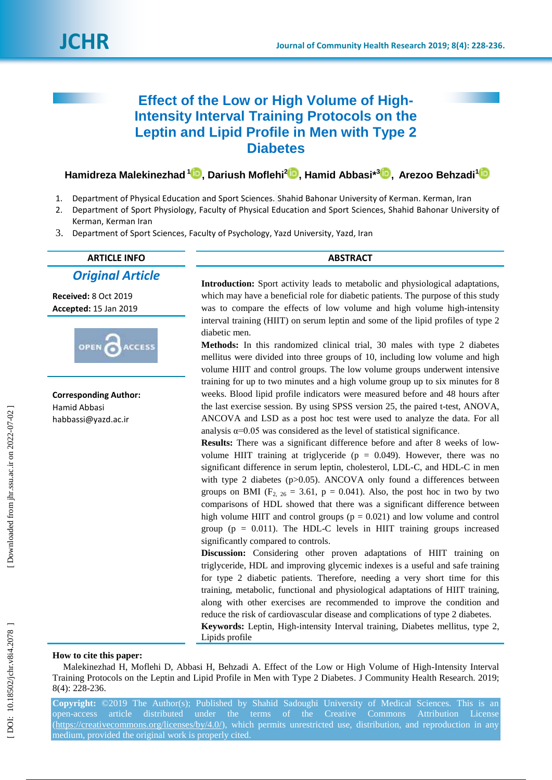# **Effect of the Low or High Volume of High - Intensity Interval Training Protocols on the Leptin and Lipid Profile in Men with Type 2 Diabetes**

**Hamidreza Malekinezhad 1 , Dariush Moflehi [2](https://orcid.org/0000-0003-1861-5161) , Hamid Abbasi \* [3](https://orcid.org/0000-0002-1037-6453) , Arezoo Behzadi [1](https://orcid.org/0000-0002-0797-5551)**

- 1 . Department of Physical Education and Sport Sciences. Shahid Bahonar University of Kerman . Kerman, Iran
- 2 . Department of Sport Physiology, Faculty of Physical Education and Sport Sciences, Shahid Bahonar University of Kerman, Kerman Iran
- 3. . Department of Sport Sciences, Faculty of Psychology, Yazd University, Yazd, Iran

# **ARTICLE INFO ABSTRACT** *Original Article*

**Received:**  8 Oct 201 9 **Accepted:** 15 Jan 2019



**Corresponding Author:** Hamid Abbasi habbassi@yazd.ac.ir

**Introduction:** Sport activity leads to metabolic and physiological adaptations, which may have a beneficial role for diabetic patients. The purpose of this study was to compare the effects of low volume and high volume high -intensity interval training (HIIT) on serum leptin and some of the lipid profiles of type 2 diabetic men.

**Methods :** In this randomized clinical trial, 30 males with type 2 diabetes mellitus were divided into three groups of 10, including low volume and high volume HIIT and control groups. The low volum e groups underwent intensive training for up to two minutes and a high volume group up to six minutes for 8 weeks. Blood lipid profile indicators were measured before and 48 hours after the last exercise session. By using SPSS version 25, the paired t-test, ANOVA, ANCOVA and LSD as a post hoc test were used to analyze the data. For all analysis  $\alpha$ =0.05 was considered as the level of statistical significance.

Results: There was a significant difference before and after 8 weeks of lowvolume HIIT training at triglyceride ( $p = 0.049$ ). However, there was no significant difference in serum leptin, cholesterol, LDL-C, and HDL-C in men with type 2 diabetes (p>0.05). ANCOVA only found a differences between groups on BMI  $(F_{2, 26} = 3.61, p = 0.041)$ . Also, the post hoc in two by two comparisons of HDL showed that there was a significant difference between high volume HIIT and control groups  $(p = 0.021)$  and low volume and control group ( $p = 0.011$ ). The HDL-C levels in HIIT training groups increased significantly compared to controls.

**Discussion:** Considering other proven adaptations of HIIT training on triglyceride, HDL and improving glycemic indexes is a useful and safe training fo r type 2 diabetic patients. Therefore, needing a very short time for this training, metabolic, functional and physiological adaptations of HIIT training, along with other exercises are recommended to improve the condition and reduce the risk of cardiovascular disease and complications of type 2 diabetes.

**Keywords:** Leptin, High -intensity Interval training, Diabetes mellitus, type 2, Lipids profile

# **How to cite this paper:**

Malekinezhad H, Moflehi D, Abbasi H, Behzadi A. Effect of the Low or High Volume of High-Intensity Interval Training Protocols on the Leptin and Lipid Profile in Men with Type 2 Diabetes. J Community Health Research. 2019; 8(4): 228 -236 .

**Copyright:** ©2019 The Author(s); Published by Shahid Sadoughi University of Medical Sciences. This is an open-access article distributed under the terms of the Creative Commons Attribution License [\(https://creativecommons.org/licenses/by/4.0/\)](https://creativecommons.org/licenses/by/4.0/), which permits unrestricted use, distribution, and reproduction in any medium, provided the original work is properly cited.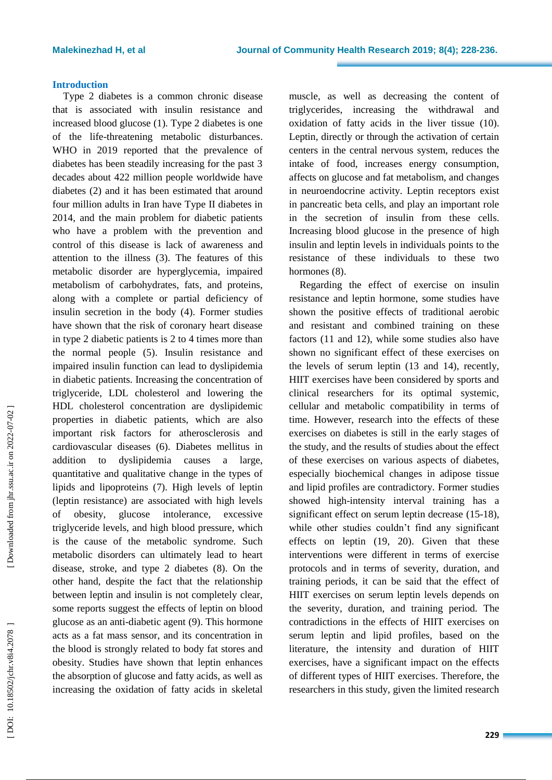# **Introduction**

Type 2 diabetes is a common chronic disease that is associated with insulin resistance and increased blood glucose (1). Type 2 diabetes is one of the life -threatening metabolic disturbances . WHO in 2019 reported that the prevalence of diabetes has been steadily increasing for the past 3 decades about 422 million people worldwide have diabetes ( 2) and it has been estimated that around four million adults in Iran have Type II diabetes in 2014, and the main problem for diabetic patients who have a problem with the prevention and control of this disease is lack of awareness and attention to the illness ( 3). The features of this metabolic disorder are hyperglycemia, impaired metabolism of carbohydrates, fats , and proteins, along with a complete or partial deficiency of insulin secretion in the body ( 4). Former studies have shown that the risk of coronary heart disease in type 2 diabetic patients is 2 to 4 times more than the normal people (5) . Insulin resistance and impaired insulin function can lead to dyslipidemia in diabetic patients. Increasing the concentration of triglyceride, LDL cholesterol and lowering the HDL cholesterol concentration are dyslipidemic properties in diabetic patients, which are also important risk factors for atherosclerosis and cardiovascular diseases ( 6 ). Diabetes mellitus in addition to dyslipidemia causes a large, quantitative and qualitative change in the types of lipids and lipoproteins ( 7). High levels of leptin (leptin resistance) are associated with high levels of obesity, glucose intolerance, excessive triglyceride levels, and high blood pressure, which is the cause of the metabolic syndrome. Such metabolic disorders can ultimately lead to heart disease, stroke, and type 2 diabetes ( 8). On the other hand, despite the fact that the relationship between leptin and insulin is not completely clear, some reports suggest the effects of leptin on blood glucose as an anti -diabetic agent ( 9). This hormone acts as a fat mass sensor, and its concentration in the blood is strongly related to body fat stores and obesity. Studies have shown that leptin enhances the absorption of glucose and fatty acids, as well as increasing the oxidation of fatty acids in skeletal

muscle, as well as decreasing the content of triglycerides, increasing the withdrawal and oxidation of fatty acids in the liver tissue (10). Leptin, directly or through the activation of certain centers in the central nervous system, reduces the intake of food, increases energy consumption, affects on glucose and fat metabolism, and changes in neuroendocrine activity. Leptin receptors exist in pancreatic beta cells, and play an important role in the secretion of insulin from these cells. Increasing blood glucose in the presence of high insulin and leptin levels in individuals points to the resistance of these individuals to these two hormones  $(8)$ .

Regarding the effect of exercise on insulin resistance and leptin hormone, some studies have shown the positive effects of traditional aerobic and resistant and combined training on these factors (11 and 1 2), while some studies also have shown no significant effect of these exercises on the levels of serum leptin (13 and 14), recently, HIIT exercises have been considered by sports and clinical researchers for its optimal systemic, cellular and metabolic compatibility in terms of time. However, research into the effects of these exercises on diabetes is still in the early stages of the study, and the results of studies about the effect of these exercises on various aspects of diabetes, especially biochemical changes in adipose tissue and lipid profiles are contradictory. Former studies showed high -intensity interval training has a significant effect on serum leptin decrease (15-18), while other studies couldn't find any significant effects on leptin (19, 2 0 ). Given that these interventions were different in terms of exercise protocols and in terms of severity, duration, and training periods, it can be said that the effect of HIIT exercises on serum leptin levels depends on the severity, duration, and training period. The contradictions in the effects of HIIT exercises on serum leptin and lipid profiles, based on the literature, the intensity and duration of HIIT exercises, have a significant impact on the effects of different types of HIIT exercises . Therefore, the researchers in this study, given the limited research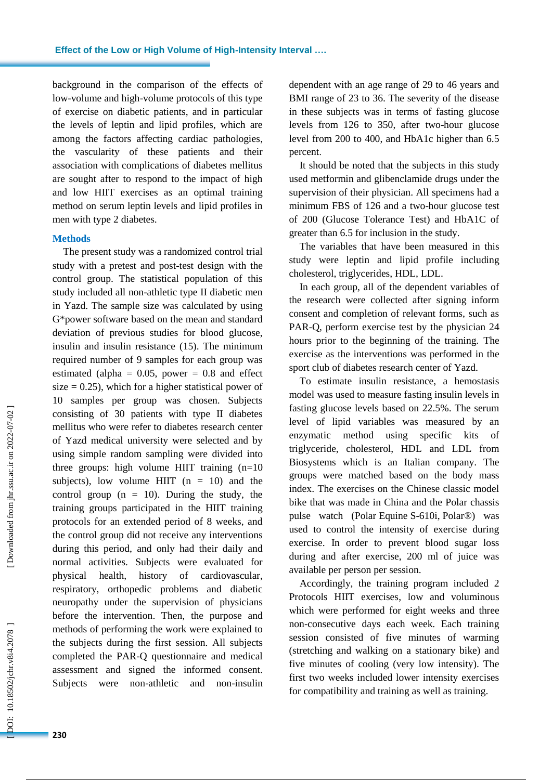background in the comparison of the effects of low -volume and high -volume protocols of this type of exercise on diabetic patients, and in particular the levels of leptin and lipid profiles, which are among the factors affecting cardiac pathologies , the vascularity of these patients and their association with complications of diabetes mellitus are sought after to respond to the impact of high and low HIIT exercises as an optimal training method on serum leptin levels and lipid profiles in men with type 2 diabetes.

# **Methods**

**.**

The present study was a randomized control trial study with a pretest and post -test design with the control group. The statistical population of this study included all non -athletic type II diabetic men in Yazd. The sample size was calculated by using G\*power software based on the mean and standard deviation of previous studies for blood glucose, insulin and insulin resistance (15). The minimum required number of 9 samples for each group was estimated (alpha =  $0.05$ , power =  $0.8$  and effect size  $= 0.25$ ), which for a higher statistical power of 10 samples per group was chosen. Subjects consisting of 30 patients with type II diabetes mellitus who were refer to diabetes research center of Yazd medical university were selected and by using simple random sampling were divided into three groups: high volume HIIT training  $(n=10)$ subjects), low volume HIIT  $(n = 10)$  and the control group  $(n = 10)$ . During the study, the training groups participated in the HIIT training protocols for an extended period of 8 weeks, and the control group did not receive any interventions during this period, and only had their daily and normal activities. Subjects were evaluated for physical health, history of cardiovascular, respiratory, orthopedic problems and diabetic neuropathy under the supervision of physicians before the intervention. Then, the purpose and methods of performing the work were explained to the subjects during the first session. All subjects completed the PAR -Q questionnaire and medical assessment and signed the informed consent. Subjects were non -athletic and non -insulin dependent with an age range of 29 to 46 years and BMI range of 23 to 36. The severity of the disease in these subjects was in terms of fasting glucose levels from 126 to 350, after two -hour glucose level from 200 to 400, and HbA1c higher than 6.5 percent .

It should be noted that the subjects in this study used metformin and glibenclamide drugs under the supervision of their physician. All specimens had a minimum FBS of 126 and a two -hour glucose test of 200 (Glucose Tolerance Test) and HbA1C of greater than 6.5 for inclusion in the study.

The variables that have been measured in this study were leptin and lipid profile including cholesterol, triglycerides, HDL, LDL.

In each group, all of the dependent variables of the research were collected after signing inform consent and completion of relevant forms, such as PAR -Q, perform exercise test by the physician 24 hours prior to the beginning of the training. The exercise as the interventions was performed in the sport club of diabetes research center of Yazd.

To estimate insulin resistance, a hemostasis model was used to measure fasting insulin levels in fasting glucose levels based on 22.5%. The serum level of lipid variables was measured by an enzymatic method using specific kits of triglyceride, cholesterol, HDL and LDL from Biosystems which is an Italian company. The groups were matched based on the body mass index. The exercises on the Chinese classic model bike that was made in China and the Polar chassis pulse watch (Polar Equine S -610i, Polar®) was used to control the intensity of exercise during exercise. In order to prevent blood sugar loss during and after exercise, 200 ml of juice was available per person per session.

Accordingly, the training program included 2 Protocols HIIT exercises , low and voluminous which were performed for eight weeks and three non -consecutive days each week. Each training session consisted of five minutes of warming (stretching and walking on a stationary bike) and five minutes of cooling (very low intensity). The first two weeks included lower intensity exercises for compatibility and training as well as training.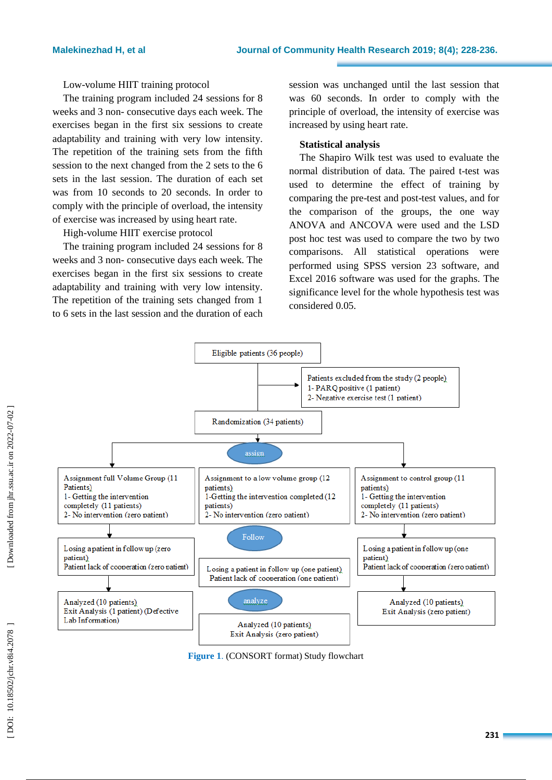Low -volume HIIT training protocol

The training program included 24 sessions for 8 weeks and 3 non - consecutive days each week. The exercises began in the first six sessions to create adaptability and training with very low intensity. The repetition of the training sets from the fifth session to the next changed from the 2 sets to the 6 sets in the last session. The duration of each set was from 10 seconds to 20 seconds. In order to comply with the principle of overload, the intensity of exercise was increased by using heart rate.

High -volume HIIT exercise protocol

The training program included 24 sessions for 8 weeks and 3 non - consecutive days each week. The exercises began in the first six sessions to create adaptability and training with very low intensity. The repetition of the training sets changed from 1 to 6 sets in the last session and the duration of each

session was unchanged until the last session that was 60 seconds. In order to comply with the principle of overload, the intensity of exercise was increased by using heart rate.

# **Statistical analysis**

The Shapiro Wilk test was used to evaluate the normal distribution of data. The paired t -test was used to determine the effect of training by comparing the pre -test and post -test values, and for the comparison of the groups , the one way ANOVA and ANCOVA were used and the LSD post hoc test was used to compare the two by two comparisons. All statistical operations were performed using SPSS version 23 software, and Excel 2016 software was used for the graphs. The significance level for the whole hypothesis test was considered 0.05.



**Figure 1** . (CONSORT format) Study flowchart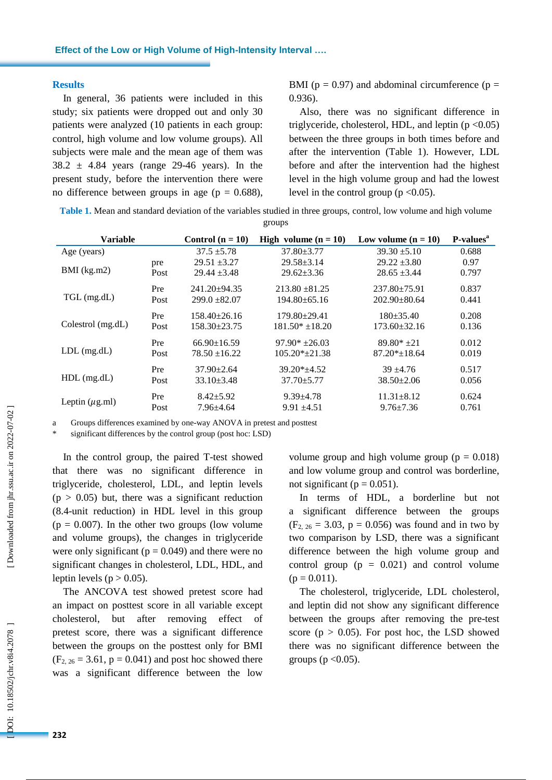#### **Results**

**.**

In general, 36 patients were included in this study; six patients were dropped out and only 30 patients were analyzed (10 patients in each group: control, high volume and low volume groups). All subjects were male and the mean age of them was  $38.2 \pm 4.84$  years (range 29-46 years). In the present study, before the intervention there were no difference between groups in age ( $p = 0.688$ ), BMI ( $p = 0.97$ ) and abdominal circumference ( $p =$ 0.936) .

Also, there was no significant difference in triglyceride, cholesterol, HDL, and leptin  $(p < 0.05)$ between the three groups in both times before and after the intervention (Table 1). However, LDL before and after the intervention had the highest level in the high volume group and had the lowest level in the control group ( $p < 0.05$ ).

**Table 1 .** Mean and standard deviation of the variables studied in three groups, control, low volume and high volume groups

| <b>Variable</b>     |      | Control $(n = 10)$ | High volume $(n = 10)$ | Low volume $(n = 10)$ | P-values <sup>a</sup> |
|---------------------|------|--------------------|------------------------|-----------------------|-----------------------|
| Age (years)         |      | $37.5 + 5.78$      | $37.80 \pm 3.77$       | $39.30 \pm 5.10$      | 0.688                 |
| $BMI$ (kg.m2)       | pre  | $29.51 \pm 3.27$   | $29.58 \pm 3.14$       | $29.22 \pm 3.80$      | 0.97                  |
|                     | Post | $29.44 \pm 3.48$   | $29.62 \pm 3.36$       | $28.65 \pm 3.44$      | 0.797                 |
| TGL (mg.dL)         | Pre  | $241.20 \pm 94.35$ | $213.80 + 81.25$       | $237.80 \pm 75.91$    | 0.837                 |
|                     | Post | $299.0 \pm 82.07$  | $194.80 \pm 65.16$     | $202.90 \pm 80.64$    | 0.441                 |
| Colestrol (mg.dL)   | Pre  | $158.40\pm26.16$   | $179.80 \pm 29.41$     | $180 \pm 35.40$       | 0.208                 |
|                     | Post | $158.30 \pm 23.75$ | $181.50* + 18.20$      | $173.60 \pm 32.16$    | 0.136                 |
| $LDL$ (mg.dL)       | Pre  | $66.90 \pm 16.59$  | $97.90* + 26.03$       | $89.80* +21$          | 0.012                 |
|                     | Post | $78.50 \pm 16.22$  | $105.20*+21.38$        | $87.20* + 18.64$      | 0.019                 |
| $HDL$ (mg.dL)       | Pre  | $37.90 \pm 2.64$   | $39.20*+4.52$          | $39 + 4.76$           | 0.517                 |
|                     | Post | $33.10 \pm 3.48$   | $37.70 \pm 5.77$       | $38.50 \pm 2.06$      | 0.056                 |
| Leptin $(\mu$ g.ml) | Pre  | $8.42 + 5.92$      | $9.39 \pm 4.78$        | $11.31 \pm 8.12$      | 0.624                 |
|                     | Post | $7.96 + 4.64$      | $9.91 \pm 4.51$        | $9.76 \pm 7.36$       | 0.761                 |

a Groups differences examined by one -way ANOVA in pretest and posttest

significant differences by the control group (post hoc: LSD)

In the control group , the paired T -test showed that there was no significant difference in triglyceride, cholesterol, LDL, and leptin levels ( $p > 0.05$ ) but, there was a significant reduction (8.4-unit reduction) in HDL level in this group ( $p = 0.007$ ). In the other two groups (low volume and volume groups), the changes in triglyceride were only significant ( $p = 0.049$ ) and there were no significant changes in cholesterol, LDL, HDL, and leptin levels ( $p > 0.05$ ).

The ANCOVA test showed pretest score had an impact on posttest score in all variable except cholesterol, but after removing effect pretest score , there was a significant difference between the groups on the posttest only for BMI ( $F_{2, 26} = 3.61$ ,  $p = 0.041$ ) and post hoc showed there was a significant difference between the low

volume group and high volume group ( $p = 0.018$ ) and low volume group and control was borderline , not significant ( $p = 0.051$ ).

In terms of HDL , a borderline but not a significant difference between the groups (F<sub>2, 26</sub> = 3.03, p = 0.056) was found and in two by two comparison by LSD, there was a significant difference between the high volume group and control group  $(p = 0.021)$  and control volume  $(p = 0.011)$ .

The cholesterol, triglyceride, LDL cholesterol , and leptin did not show any significant difference between the groups after removing the pre -test score ( $p > 0.05$ ). For post hoc, the LSD showed there was no significant difference between the groups ( $p < 0.05$ ).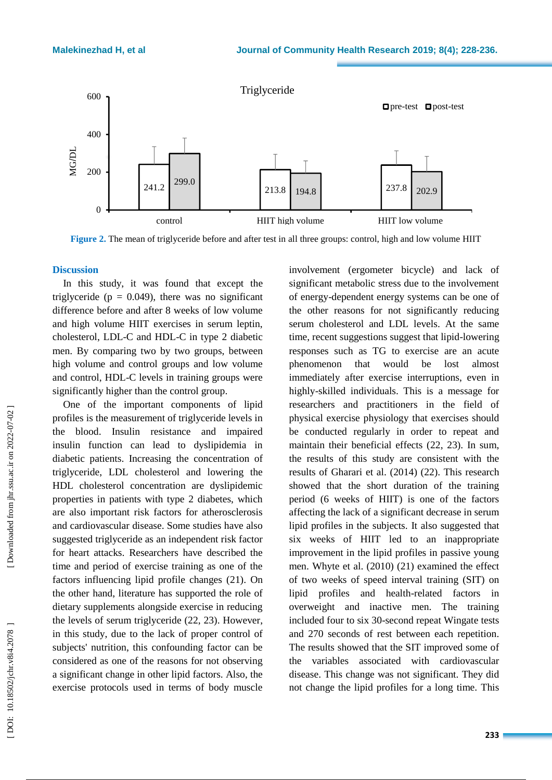

**Figure 2 .** The mean of triglyceride before and after test in all three groups: control, high and low volume HIIT

#### **Discussion**

In this study, it was found that except the triglyceride ( $p = 0.049$ ), there was no significant difference before and after 8 weeks of low volume and high volume HIIT exercises in serum leptin, cholesterol, LDL -C and HDL -C in type 2 diabetic men. By comparing two by two groups, between high volume and control groups and low volume and control, HDL -C levels in training groups were significantly higher than the control group .

One of the important components of lipid profiles is the measurement of triglyceride levels in the blood. Insulin resistance and impaired insulin function can lead to dyslipidemia in diabetic patients. Increasing the concentration of triglyceride, LDL cholesterol and lowering the HDL cholesterol concentration are dyslipidemic properties in patients with type 2 diabetes, which are also important risk factors for atherosclerosis and cardiovascular disease. Some studies have also suggested triglyceride as an independent risk factor for heart attacks. Researchers have described the time and period of exercise training as one of the factors influencing lipid profile changes (21). On the other hand, literature has supported the role of dietary supplements alongside exercise in reducing the levels of serum triglyceride (22, 23). However, in this study, due to the lack of proper control of subjects' nutrition, this confounding factor can be considered as one of the reasons for not observing a significant change in other lipid factors. Also, the exercise protocols used in terms of body muscle

involvement (ergometer bicycle) and lack of significant metabolic stress due to the involvement of energy -dependent energy systems can be one of the other reasons for not significantly reducing serum cholesterol and LDL levels. At the same time, recent suggestions suggest that lipid -lowering responses such as TG to exercise are an acute phenomenon that would be lost almost immediately after exercise interruptions, even in highly -skilled individuals. This is a message for researchers and practitioners in the field of physical exercise physiology that exercises should be conducted regularly in order to repeat and maintain their beneficial effects (22, 23). In sum, the results of this study are consistent with the results of Gharari et al. (2014) (22). This research showed that the short duration of the training period (6 weeks of HIIT) is one of the factors affecting the lack of a significant decrease in serum lipid profiles in the subjects. It also suggested that six weeks of HIIT led to an inappropriate improvement in the lipid profiles in passive young men. Whyte et al. (2010) (21) examined the effect of two weeks of speed interval training (SIT) on lipid profiles and health -related factors in overweight and inactive men. The training included four to six 30 -second repeat Wingate tests and 270 seconds of rest between each repetition. The results showed that the SIT improved some of the variables associated with cardiovascular disease . This change was not significant. They did not change the lipid profiles for a long time. This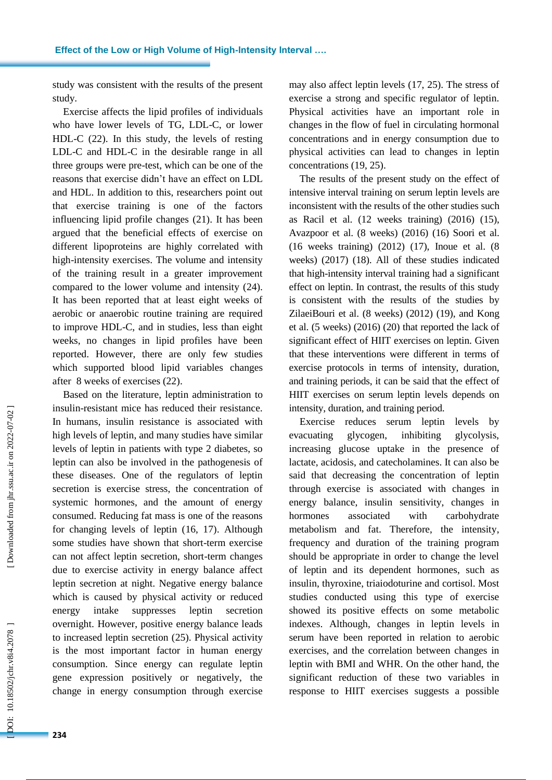study was consistent with the results of the present study.

**.**

Exercise affects the lipid profiles of individuals who have lower levels of TG, LDL -C, or lower HDL -C ( 2 2). In this study, the levels of resting LDL -C and HDL -C in the desirable range in all three groups were pre -test, which can be one of the reasons that exercise didn't have an effect on LDL and HDL. In addition to this, researchers point out that exercise training is one of the factors influencing lipid profile changes ( 2 1). It has been argued that the beneficial effects of exercise on different lipoproteins are highly correlated with high -intensity exercises. The volume and intensity of the training result in a greater improvement compared to the lower volume and intensity ( 2 4). It has been reported that at least eight weeks of aerobic or anaerobic routine training are required to improve HDL -C, and in studies , less than eight weeks, no changes in lipid profiles have been reported. However, there are only few studies which supported blood lipid variables changes after 8 weeks of exercises ( 2 2).

Based on the literature, leptin administration to insuli n -resistant mice has reduced their resistance. In humans, insulin resistance is associated with high levels of leptin, and many studies have similar levels of leptin in patients with type 2 diabetes, so leptin can also be involved in the pathogenesis of these diseases. One of the regulators of leptin secretion is exercise stress, the concentration of systemic hormones, and the amount of energy consumed. Reducing fat mass is one of the reasons for changing levels of leptin ( 1 6, 1 7). Although some studies have shown that short -term exercise can not affect leptin secretion, short -term changes due to exercise activity in energy balance affect leptin secretion at night. Negative energy balance which is caused by physical activity or reduced energy intake suppresses leptin secretion overnight. However, positive energy balance leads to increased leptin secretion ( 2 5). Physical activity is the most important factor in human energy consumption. Since energy can regulate leptin gene expression positively or negatively, the change in energy consumption through exercise

may also affect leptin levels ( 1 7, 2 5). The stress of exercise a strong and specific regulator of leptin. Physical activities have an important role in changes in the flow of fuel in circulating hormonal concentrations and in energy consumption due to physical activities can lead to changes in leptin concentrations (19, 2 5).

The results of the present study on the effect of intensive interval training on serum leptin levels are inconsistent with the results of the other studies such as Ra cil et al. (12 weeks training) (2016) ( 1 5), Avazpo or et al . (8 weeks) (2016) ( 1 6) Soori et al. (16 weeks training) (2012) ( 1 7), Ino ue et al. (8 weeks) (2017) ( 1 8). All of these studies indicated that high -intensity interval training had a significant effect on leptin . In contrast, the results of this study is consistent with the results of the studies by ZilaeiBouri et al. (8 weeks) (2012) (19), and Kong et al . (5 weeks) (2016) ( 2 0) that reported the lack of significant effect of HIIT exercises on leptin. Given that these interventions were different in terms of exercise protocols in terms of intensity, duration, and training periods, it can be said that the effect of HIIT exercises on serum leptin levels depends on intensity, duration, and training period.

Exercise reduces serum leptin levels by evacuating glycogen, inhibiting glycolysis, increasing glucose uptake in the presence of lactate, acidosis , and catecholamines. It can also be said that decreasing the concentration of leptin through exercise is associated with changes in energy balance, insulin sensitivity, changes in hormones associated with carbohydrate metabolism and fat. Therefore, the intensity, frequency and duration of the training program should be appropriate in order to change the level of leptin and its dependent hormones, such as insulin, thyroxine, triaiodoturine and cortisol. Most studies conducted using this type of exercise showed its positive effects on some metabolic indexes. Although , changes in leptin levels in serum have been reported in relation to aerobic exercises, and the correlation between changes in leptin with BMI and WHR . On the other hand, the significant reduction of these two variables in response to HIIT exercises suggests a possible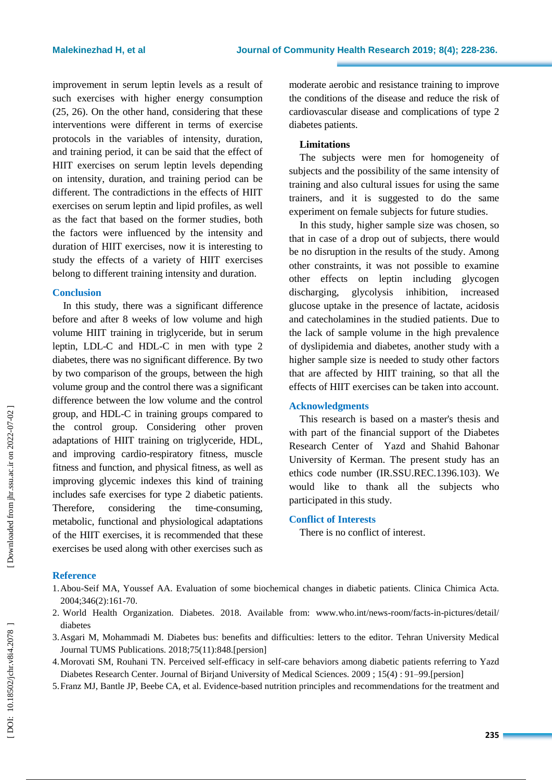improvement in serum leptin levels as a result of such exercise s with higher energy consumption ( 2 5, 2 6). On the other hand, considering that these interventions were different in terms of exercise protocols in the variables of intensity, duration, and training period, it can be said that the effect of HIIT exercises on serum leptin levels depending on intensity, duration, and training period can be different. The contradictions in the effects of HIIT exercises on serum leptin and lipid profiles, as well as the fact that based on the former studies, both the factors were influenced by the intensity and duration of HIIT exercises, now it is interesting to study the effects of a variety of HIIT exercises belong to different training intensity and duration.

#### **Conclusion**

In this study, there was a significant difference before and after 8 weeks of low volume and high volume HIIT training in triglyceride, but in serum leptin, LDL -C and HDL -C in men with type 2 diabetes, there was no significant difference. By two by two comparison of the groups, between the high volume group and the control there was a significant difference between the low volume and the control group, and HDL -C in training groups compared to the control group. Considering other proven adaptations of HIIT training on triglyceride, HDL, and improving cardio -respiratory fitness, muscle fitness and function, and physical fitness, as well as improving glycemic indexes this kind of training includes safe exercises for type 2 diabetic patients. Therefore, considering the time-consuming. metabolic, functional and physiological adaptations of the HIIT exercises, it is recommended that these exercises be used along with other exercises such as

moderate aerobic and resistance training to improve the conditions of the disease and reduce the risk of cardiovascular disease and complications of type 2 diabetes patients.

#### **Limitations**

The subjects were men for homogeneity of s ubj ects and the possibility of the same intensity of training and also cultural issues for using the same tra iners, and it is suggested to do the same experiment on female subjects for future studies.

In this study, higher sample size was chosen, so that in case of a drop out of subjects, there would be no disruption in the results of the study. Among other constraints, it was not possible to examine other effects on leptin including glycogen discharging, glycolysis inhibition, increased glucose uptake in the presence of lactate, acidosis and catecholamines in the studied patients . Due to the lack of sample volume in the high prevalence of dyslipidemia and diabetes, another study with a higher sample size is needed to study other factors that are affected by HIIT tra ining, so that all the effects of HIIT exercises can be taken into account.

# **Acknowledgments**

This research is based on a master's thesis and with part of the financial support of the Diabetes Research Center of Yazd and Shahid Bahonar University of Kerman. The present study has an ethics code number (IR.SSU.REC.1396.103). We would like to thank all the subjects who participated in this study.

#### **Conflict of Interests**

There is no conflict of interest .

### **Reference**

- 1.Abou-Seif MA, Youssef AA. Evaluation of some biochemical changes in diabetic patients. Clinica Chimica Acta. 2004 ;346(2):161 -70.
- 2 . World Health Organization. Diabetes. 2018. Available from: www.who.int/news -room/facts -in -pictures/detail/ diabetes
- 3 .Asgari M, Mohammadi M. Diabetes bus: benefits and difficulties: letters to the editor. Tehran University Medical Journal TUMS Publications. 2018 ;75(11):848.[persion]
- 4 .Morovati SM, Rouhani TN. Perceived self-efficacy in self-care behaviors among diabetic patients referring to Yazd Diabetes Research Center. Journal of Birjand University of Medical Sciences. 2009; [15\(](https://www.sid.ir/en/journal/JournalListPaper.aspx?ID=61328)4): 91–99. [persion]
- 5 .Franz MJ, Bantle JP, Beebe CA, et al . Evidence -based nutrition principles and recommendations for the treatment and